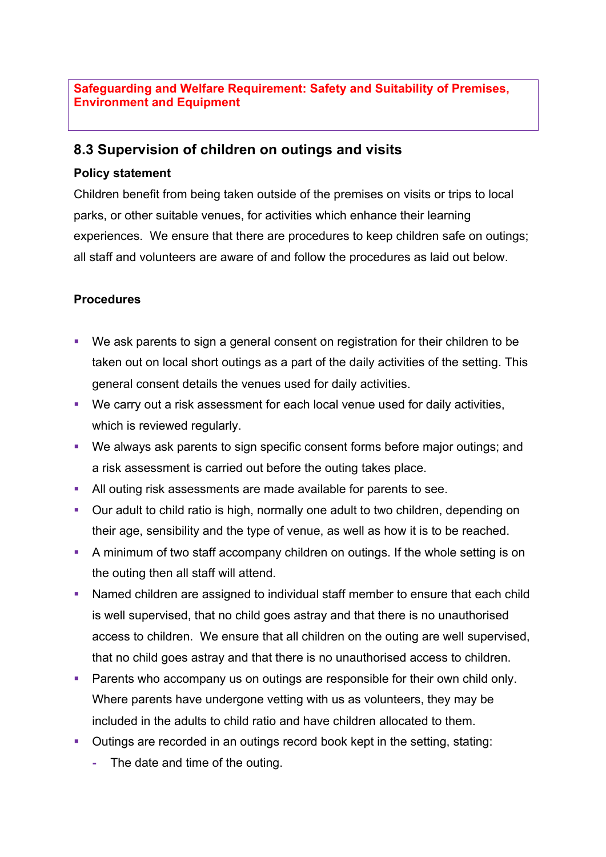## **Safeguarding and Welfare Requirement: Safety and Suitability of Premises, Environment and Equipment**

## **8.3 Supervision of children on outings and visits**

## **Policy statement**

Children benefit from being taken outside of the premises on visits or trips to local parks, or other suitable venues, for activities which enhance their learning experiences. We ensure that there are procedures to keep children safe on outings; all staff and volunteers are aware of and follow the procedures as laid out below.

## **Procedures**

- We ask parents to sign a general consent on registration for their children to be taken out on local short outings as a part of the daily activities of the setting. This general consent details the venues used for daily activities.
- We carry out a risk assessment for each local venue used for daily activities, which is reviewed regularly.
- § We always ask parents to sign specific consent forms before major outings; and a risk assessment is carried out before the outing takes place.
- All outing risk assessments are made available for parents to see.
- Our adult to child ratio is high, normally one adult to two children, depending on their age, sensibility and the type of venue, as well as how it is to be reached.
- A minimum of two staff accompany children on outings. If the whole setting is on the outing then all staff will attend.
- Named children are assigned to individual staff member to ensure that each child is well supervised, that no child goes astray and that there is no unauthorised access to children. We ensure that all children on the outing are well supervised, that no child goes astray and that there is no unauthorised access to children.
- Parents who accompany us on outings are responsible for their own child only. Where parents have undergone vetting with us as volunteers, they may be included in the adults to child ratio and have children allocated to them.
- Outings are recorded in an outings record book kept in the setting, stating:
	- **-** The date and time of the outing.